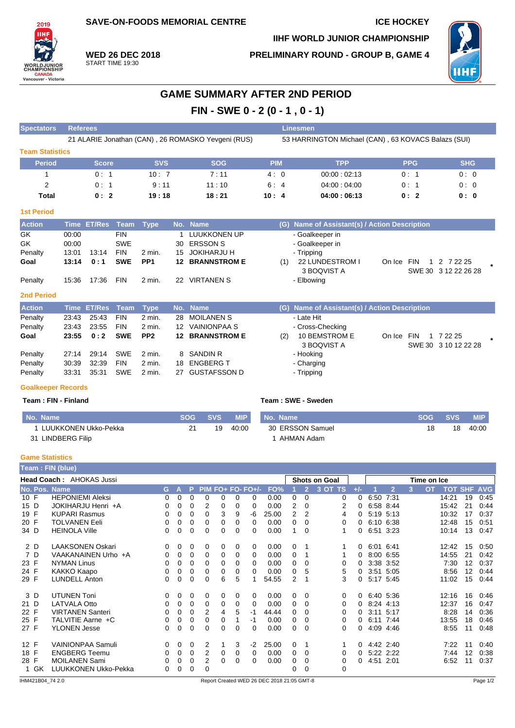**SAVE-ON-FOODS MEMORIAL CENTRE ICE HOCKEY** 

**IIHF WORLD JUNIOR CHAMPIONSHIP**

**PRELIMINARY ROUND - GROUP B, GAME 4**



**WED 26 DEC 2018** START TIME 19:30

2019 IIH)

**WORLDJUN**<br>CHAMPIONS

**CANADA**<br>Vancouver - Victoria

## **GAME SUMMARY AFTER 2ND PERIOD FIN - SWE 0 - 2 (0 - 1 , 0 - 1)**

| <b>Spectators</b>         | <b>Referees</b> |               |             |                 |         |                                                    |            |     | Linesmen                                            |        |                 |                                     |  |
|---------------------------|-----------------|---------------|-------------|-----------------|---------|----------------------------------------------------|------------|-----|-----------------------------------------------------|--------|-----------------|-------------------------------------|--|
|                           |                 |               |             |                 |         | 21 ALARIE Jonathan (CAN), 26 ROMASKO Yevgeni (RUS) |            |     | 53 HARRINGTON Michael (CAN), 63 KOVACS Balazs (SUI) |        |                 |                                     |  |
| <b>Team Statistics</b>    |                 |               |             |                 |         |                                                    |            |     |                                                     |        |                 |                                     |  |
| <b>Period</b>             |                 | <b>Score</b>  |             | <b>SVS</b>      |         | <b>SOG</b>                                         | <b>PIM</b> |     | <b>TPP</b>                                          |        | <b>PPG</b>      | <b>SHG</b>                          |  |
|                           |                 | 0:1           |             | 10:7            |         | 7:11                                               | 4:0        |     | 00:00:02:13                                         |        | 0:1             | 0:0                                 |  |
| 2                         |                 | 0:1           |             | 9:11            |         | 11:10                                              | 6:         | 4   | 04:00:04:00                                         |        | 0:1             | 0:0                                 |  |
| Total                     |                 | 0:2           |             | 19:18           |         | 18:21                                              | 10:4       |     | 04:00:06:13                                         |        | 0:2             | 0:0                                 |  |
| <b>1st Period</b>         |                 |               |             |                 |         |                                                    |            |     |                                                     |        |                 |                                     |  |
| <b>Action</b>             | <b>Time</b>     | <b>ET/Res</b> | <b>Team</b> | <b>Type</b>     | No.     | <b>Name</b>                                        |            | (G) | Name of Assistant(s) / Action Description           |        |                 |                                     |  |
| GK                        | 00:00           |               | <b>FIN</b>  |                 |         | <b>LUUKKONEN UP</b>                                |            |     | - Goalkeeper in                                     |        |                 |                                     |  |
| GK                        | 00:00           |               | <b>SWE</b>  |                 | 30      | <b>ERSSON S</b>                                    |            |     | - Goalkeeper in                                     |        |                 |                                     |  |
| Penalty                   | 13:01           | 13:14         | <b>FIN</b>  | $2$ min.        | 15      | <b>JOKIHARJU H</b>                                 |            |     | - Tripping                                          |        |                 |                                     |  |
| Goal                      | 13:14           | 0:1           | <b>SWE</b>  | PP <sub>1</sub> | $12 \,$ | <b>BRANNSTROM E</b>                                |            | (1) | 22 LUNDESTROM I<br>3 BOQVIST A                      | On Ice | <b>FIN</b><br>1 | 2 7 2 2 2 5<br>SWE 30 3 12 22 26 28 |  |
| Penalty                   | 15:36           | 17:36         | <b>FIN</b>  | $2$ min.        |         | 22 VIRTANEN S                                      |            |     | - Elbowing                                          |        |                 |                                     |  |
| <b>2nd Period</b>         |                 |               |             |                 |         |                                                    |            |     |                                                     |        |                 |                                     |  |
| <b>Action</b>             | <b>Time</b>     | <b>ET/Res</b> | <b>Team</b> | <b>Type</b>     | No.     | <b>Name</b>                                        |            | (G) | Name of Assistant(s) / Action Description           |        |                 |                                     |  |
| Penalty                   | 23:43           | 25:43         | <b>FIN</b>  | $2$ min.        | 28      | <b>MOILANEN S</b>                                  |            |     | - Late Hit                                          |        |                 |                                     |  |
| Penalty                   | 23:43           | 23:55         | <b>FIN</b>  | $2$ min.        | 12      | <b>VAINIONPAA S</b>                                |            |     | - Cross-Checking                                    |        |                 |                                     |  |
| Goal                      | 23:55           | 0:2           | <b>SWE</b>  | PP <sub>2</sub> | 12      | <b>BRANNSTROM E</b>                                |            | (2) | 10 BEMSTROM E<br>3 BOQVIST A                        | On Ice | <b>FIN</b>      | 1 7 22 25<br>SWE 30 3 10 12 22 28   |  |
| Penalty                   | 27:14           | 29:14         | <b>SWE</b>  | $2$ min.        | 8       | <b>SANDIN R</b>                                    |            |     | - Hooking                                           |        |                 |                                     |  |
| Penalty                   | 30:39           | 32:39         | <b>FIN</b>  | 2 min.          | 18      | <b>ENGBERG T</b>                                   |            |     | - Charging                                          |        |                 |                                     |  |
| Penalty                   | 33:31           | 35:31         | <b>SWE</b>  | $2$ min.        | 27      | <b>GUSTAFSSON D</b>                                |            |     | - Tripping                                          |        |                 |                                     |  |
| <b>Goalkeeper Records</b> |                 |               |             |                 |         |                                                    |            |     |                                                     |        |                 |                                     |  |

**Team : FIN - Finland Team : SWE - Sweden**

| No. Name             |    | <b>SVS</b> | <b>MIP</b> | No. Name         | <b>SOG</b> | <b>SVS</b> | <b>MIP</b> |
|----------------------|----|------------|------------|------------------|------------|------------|------------|
| LUUKKONEN Ukko-Pekka | 21 | 19         | 40:00      | 30 ERSSON Samuel |            | 18         | 40:00      |
| LINDBERG Filip<br>31 |    |            |            | AHMAN Adam       |            |            |            |

## **Game Statistics**

|      |                                 | <b>Team : FIN (blue)</b> |          |          |          |          |   |   |                   |       |                      |                |         |       |             |                |   |           |                    |    |      |
|------|---------------------------------|--------------------------|----------|----------|----------|----------|---|---|-------------------|-------|----------------------|----------------|---------|-------|-------------|----------------|---|-----------|--------------------|----|------|
|      | <b>Head Coach: AHOKAS Jussi</b> |                          |          |          |          |          |   |   |                   |       | <b>Shots on Goal</b> |                |         |       | Time on Ice |                |   |           |                    |    |      |
|      |                                 | No. Pos. Name            |          | G A      | P.       |          |   |   | PIM FO+ FO- FO+/- | FO%   |                      | $\overline{2}$ | 3 OT TS | $+/-$ |             | $\overline{2}$ | 3 | <b>OT</b> | <b>TOT SHF AVG</b> |    |      |
| 10 F |                                 | <b>HEPONIEMI Aleksi</b>  | 0        | 0        | 0        | 0        | 0 | 0 | $\Omega$          | 0.00  | 0                    | 0              | 0       | 0     | 6:50        | 7:31           |   |           | 14:21              | 19 | 0:45 |
| 15 D |                                 | JOKIHARJU Henri +A       | 0        | 0        | 0        | 2        | 0 | 0 | $\Omega$          | 0.00  | 2                    | 0              | 2       | 0     |             | 6:58 8:44      |   |           | 15:42              | 21 | 0:44 |
| 19 F |                                 | <b>KUPARI Rasmus</b>     | 0        | 0        | 0        | 0        | 3 | 9 | -6                | 25.00 | $\overline{2}$       | 2              | 4       | 0     |             | 5:19 5:13      |   |           | 10:32              | 17 | 0:37 |
| 20 F |                                 | <b>TOLVANEN Eeli</b>     | 0        | 0        | 0        | 0        | 0 | 0 | $\Omega$          | 0.00  | 0                    | 0              | 0       | 0     |             | 6:10 6:38      |   |           | 12:48              | 15 | 0:51 |
| 34 D |                                 | <b>HEINOLA Ville</b>     | 0        | 0        | 0        | 0        | 0 | 0 | $\Omega$          | 0.00  | 1                    | 0              |         | 0     | 6:51 3:23   |                |   |           | 10:14              | 13 | 0:47 |
|      | 2 D                             | <b>LAAKSONEN Oskari</b>  | $\Omega$ | 0        | $\Omega$ | 0        | 0 | 0 | $\Omega$          | 0.00  | 0                    |                |         | 0     | 6:01 6:41   |                |   |           | 12:42              | 15 | 0:50 |
|      | 7 D                             | VAAKANAINEN Urho +A      | 0        | 0        | $\Omega$ | 0        | 0 | 0 | 0                 | 0.00  | 0                    |                |         | 0     |             | 8:00 6:55      |   |           | 14:55              | 21 | 0:42 |
| 23 F |                                 | <b>NYMAN Linus</b>       | 0        | 0        | 0        | 0        | 0 | 0 | 0                 | 0.00  | 0                    | 0              | 0       | 0     |             | 3:38 3:52      |   |           | 7:30               | 12 | 0:37 |
| 24 F |                                 | KAKKO Kaapo              | 0        | 0        | 0        | 0        | 0 | 0 | 0                 | 0.00  | 0                    | 5              | 5       | 0     |             | 3:51 5:05      |   |           | 8:56               | 12 | 0:44 |
| 29 F |                                 | <b>LUNDELL Anton</b>     | 0        | 0        | 0        |          | 6 | 5 |                   | 54.55 | 2                    |                | 3       | 0     |             | 5:17 5:45      |   |           | 11:02              | 15 | 0:44 |
|      | 3 D                             | <b>UTUNEN Toni</b>       | 0        | 0        | 0        | 0        | 0 | 0 | 0                 | 0.00  | 0                    | $\Omega$       | 0       | 0     | 6:40 5:36   |                |   |           | 12:16              | 16 | 0:46 |
| 21 D |                                 | <b>LATVALA Otto</b>      | 0        | 0        | 0        | $\Omega$ | 0 | 0 | $\Omega$          | 0.00  | 0                    | $\Omega$       | 0       | 0     | 8:24 4:13   |                |   |           | 12:37              | 16 | 0:47 |
| 22 F |                                 | <b>VIRTANEN Santeri</b>  | 0        | 0        | 0        | 2        | 4 | 5 | -1                | 44.44 | 0                    | $\Omega$       | 0       | 0     |             | 3:11 5:17      |   |           | 8:28               | 14 | 0:36 |
| 25 F |                                 | TALVITIE Aarne +C        | 0        | 0        | 0        | 0        | 0 |   | -1                | 0.00  | 0                    | 0              | 0       | 0     |             | 6:11 7:44      |   |           | 13:55              | 18 | 0:46 |
| 27 F |                                 | <b>YLONEN Jesse</b>      | 0        | 0        | 0        | 0        | 0 | 0 | $\Omega$          | 0.00  | 0                    | 0              | 0       | 0     |             | 4:09 4:46      |   |           | 8:55               | 11 | 0:48 |
| 12 F |                                 | <b>VAINIONPAA Samuli</b> | 0        | $\Omega$ | $\Omega$ | 2        |   | 3 | $-2$              | 25.00 | 0                    |                |         | 0     | 4.42 2.40   |                |   |           | 7:22               | 11 | 0:40 |
| 18 F |                                 | <b>ENGBERG Teemu</b>     | 0        | 0        | $\Omega$ | 2        | 0 | 0 | $\Omega$          | 0.00  | 0                    | 0              | 0       | 0     |             | 5:22 2:22      |   |           | 7:44               | 12 | 0:38 |
| 28 F |                                 | <b>MOILANEN Sami</b>     | 0        | 0        | 0        | 2        | 0 | 0 | 0                 | 0.00  | 0                    | 0              | 0       | 0     | 4:51 2:01   |                |   |           | 6:52               | 11 | 0:37 |
|      | 1 GK                            | LUUKKONEN Ukko-Pekka     | 0        | 0        | 0        | 0        |   |   |                   |       | 0                    | 0              | 0       |       |             |                |   |           |                    |    |      |